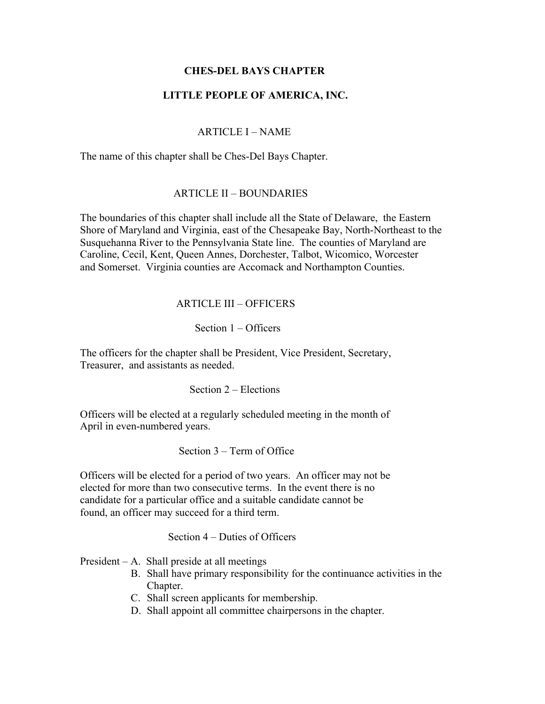### **CHES-DEL BAYS CHAPTER**

### **LITTLE PEOPLE OF AMERICA, INC.**

### ARTICLE I – NAME

The name of this chapter shall be Ches-Del Bays Chapter.

### ARTICLE II – BOUNDARIES

The boundaries of this chapter shall include all the State of Delaware, the Eastern Shore of Maryland and Virginia, east of the Chesapeake Bay, North-Northeast to the Susquehanna River to the Pennsylvania State line. The counties of Maryland are Caroline, Cecil, Kent, Queen Annes, Dorchester, Talbot, Wicomico, Worcester and Somerset. Virginia counties are Accomack and Northampton Counties.

### ARTICLE III – OFFICERS

### Section 1 – Officers

The officers for the chapter shall be President, Vice President, Secretary, Treasurer, and assistants as needed.

Section 2 – Elections

Officers will be elected at a regularly scheduled meeting in the month of April in even-numbered years.

Section 3 – Term of Office

Officers will be elected for a period of two years. An officer may not be elected for more than two consecutive terms. In the event there is no candidate for a particular office and a suitable candidate cannot be found, an officer may succeed for a third term.

Section 4 – Duties of Officers

President – A. Shall preside at all meetings

- B. Shall have primary responsibility for the continuance activities in the Chapter.
- C. Shall screen applicants for membership.
- D. Shall appoint all committee chairpersons in the chapter.